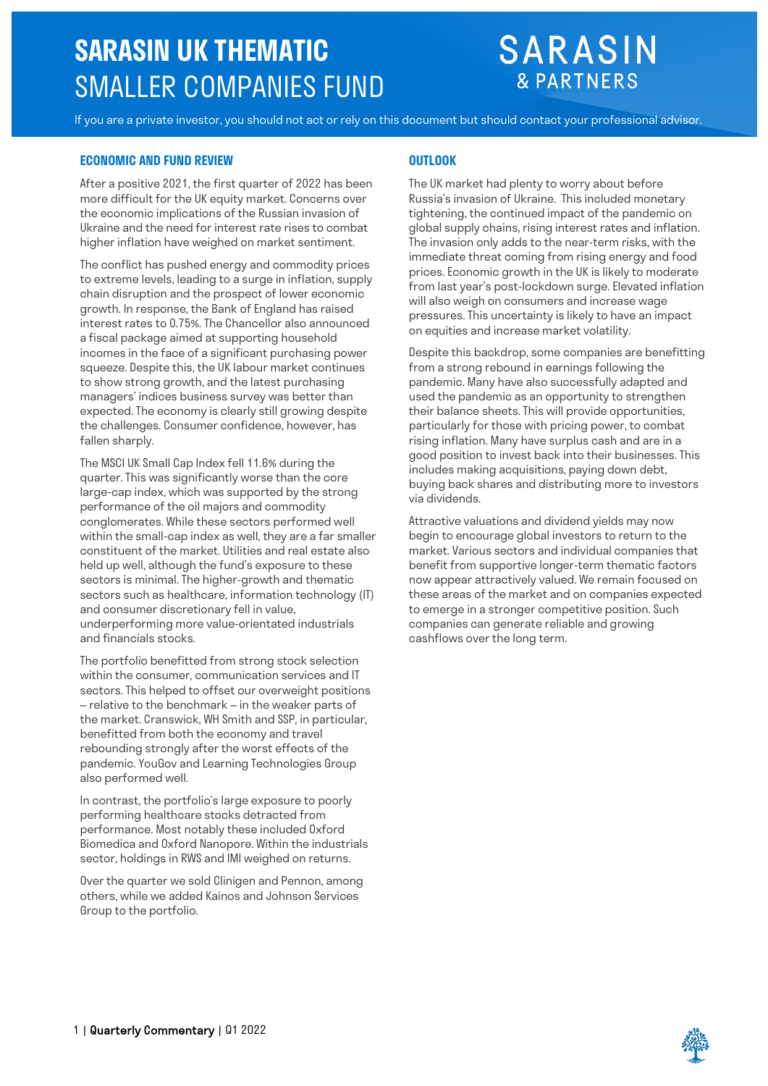# **SARASIN UK THEMATIC** SMALLER COMPANIES FUND

# **SARASIN & PARTNERS**

If you are a private investor, you should not act or rely on this document but should contact your professional advisor.

### **ECONOMIC AND FUND REVIEW OUTLOOK**

After a positive 2021, the first quarter of 2022 has been more difficult for the UK equity market. Concerns over the economic implications of the Russian invasion of Ukraine and the need for interest rate rises to combat higher inflation have weighed on market sentiment.

The conflict has pushed energy and commodity prices to extreme levels, leading to a surge in inflation, supply chain disruption and the prospect of lower economic growth. In response, the Bank of England has raised interest rates to 0.75%. The Chancellor also announced a fiscal package aimed at supporting household incomes in the face of a significant purchasing power squeeze. Despite this, the UK labour market continues to show strong growth, and the latest purchasing managers' indices business survey was better than expected. The economy is clearly still growing despite the challenges. Consumer confidence, however, has fallen sharply.

The MSCI UK Small Cap Index fell 11.6% during the quarter. This was significantly worse than the core large-cap index, which was supported by the strong performance of the oil majors and commodity conglomerates. While these sectors performed well within the small-cap index as well, they are a far smaller constituent of the market. Utilities and real estate also held up well, although the fund's exposure to these sectors is minimal. The higher-growth and thematic sectors such as healthcare, information technology (IT) and consumer discretionary fell in value, underperforming more value-orientated industrials and financials stocks.

The portfolio benefitted from strong stock selection within the consumer, communication services and IT sectors. This helped to offset our overweight positions – relative to the benchmark – in the weaker parts of the market. Cranswick, WH Smith and SSP, in particular, benefitted from both the economy and travel rebounding strongly after the worst effects of the pandemic. YouGov and Learning Technologies Group also performed well.

In contrast, the portfolio's large exposure to poorly performing healthcare stocks detracted from performance. Most notably these included Oxford Biomedica and Oxford Nanopore. Within the industrials sector, holdings in RWS and IMI weighed on returns.

Over the quarter we sold Clinigen and Pennon, among others, while we added Kainos and Johnson Services Group to the portfolio.

The UK market had plenty to worry about before [Russia's invasion of Ukraine.](https://russellinvestments.com/uk/blog/russia-ukraine-invasion-investors) This included monetary tightening, the continued impact of the pandemic on global supply chains, rising interest rates and inflation. The invasion only adds to the near-term risks, with the immediate threat coming from rising energy and food prices. Economic growth in the UK is likely to moderate from last year's post-lockdown surge. Elevated inflation will also weigh on consumers and increase wage pressures. This uncertainty is likely to have an impact on equities and increase market volatility.

Despite this backdrop, some companies are benefitting from a strong rebound in earnings following the pandemic. Many have also successfully adapted and used the pandemic as an opportunity to strengthen their balance sheets. This will provide opportunities, particularly for those with pricing power, to combat rising inflation. Many have surplus cash and are in a good position to invest back into their businesses. This includes making acquisitions, paying down debt, buying back shares and distributing more to investors via dividends.

Attractive valuations and dividend yields may now begin to encourage global investors to return to the market. Various sectors and individual companies that benefit from supportive longer-term thematic factors now appear attractively valued. We remain focused on these areas of the market and on companies expected to emerge in a stronger competitive position. Such companies can generate reliable and growing cashflows over the long term.